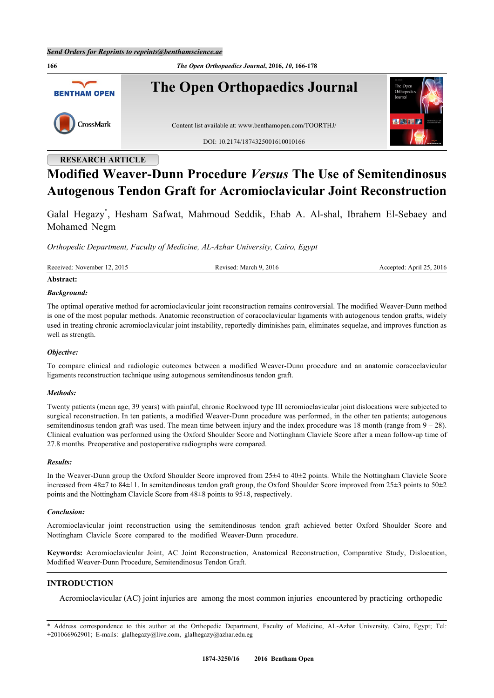**166** *The Open Orthopaedics Journal***, 2016,** *10***, 166-178 The Open Orthopaedics Journal BENTHAM OPEN** CrossMark Content list available at: [www.benthamopen.com/TOORTHJ/](http://www.benthamopen.com/TOORTHJ/) DOI: [10.2174/1874325001610010166](http://dx.doi.org/10.2174/1874325001610010166)

# **RESEARCH ARTICLE**

# **Modified Weaver-Dunn Procedure** *Versus* **The Use of Semitendinosus Autogenous Tendon Graft for Acromioclavicular Joint Reconstruction**

Galal Hegazy[\\*](#page-0-0) , Hesham Safwat, Mahmoud Seddik, Ehab A. Al-shal, Ibrahem El-Sebaey and Mohamed Negm

*Orthopedic Department, Faculty of Medicine, AL-Azhar University, Cairo, Egypt*

| Received: November 12, 2015 | Revised: March 9, 2016 | Accepted: April 25, 2016 |
|-----------------------------|------------------------|--------------------------|
| Abstract:                   |                        |                          |

### *Background:*

The optimal operative method for acromioclavicular joint reconstruction remains controversial. The modified Weaver-Dunn method is one of the most popular methods. Anatomic reconstruction of coracoclavicular ligaments with autogenous tendon grafts, widely used in treating chronic acromioclavicular joint instability, reportedly diminishes pain, eliminates sequelae, and improves function as well as strength.

### *Objective:*

To compare clinical and radiologic outcomes between a modified Weaver-Dunn procedure and an anatomic coracoclavicular ligaments reconstruction technique using autogenous semitendinosus tendon graft.

### *Methods:*

Twenty patients (mean age, 39 years) with painful, chronic Rockwood type III acromioclavicular joint dislocations were subjected to surgical reconstruction. In ten patients, a modified Weaver-Dunn procedure was performed, in the other ten patients; autogenous semitendinosus tendon graft was used. The mean time between injury and the index procedure was 18 month (range from  $9 - 28$ ). Clinical evaluation was performed using the Oxford Shoulder Score and Nottingham Clavicle Score after a mean follow-up time of 27.8 months. Preoperative and postoperative radiographs were compared.

### *Results:*

In the Weaver-Dunn group the Oxford Shoulder Score improved from 25±4 to 40±2 points. While the Nottingham Clavicle Score increased from 48±7 to 84±11. In semitendinosus tendon graft group, the Oxford Shoulder Score improved from 25±3 points to 50±2 points and the Nottingham Clavicle Score from 48±8 points to 95±8, respectively.

### *Conclusion:*

Acromioclavicular joint reconstruction using the semitendinosus tendon graft achieved better Oxford Shoulder Score and Nottingham Clavicle Score compared to the modified Weaver-Dunn procedure.

**Keywords:** Acromioclavicular Joint, AC Joint Reconstruction, Anatomical Reconstruction, Comparative Study, Dislocation, Modified Weaver-Dunn Procedure, Semitendinosus Tendon Graft.

### **INTRODUCTION**

Acromioclavicular (AC) joint injuries are among the most common injuries encountered by practicing orthopedic

<span id="page-0-0"></span><sup>\*</sup> Address correspondence to this author at the Orthopedic Department, Faculty of Medicine, AL-Azhar University, Cairo, Egypt; Tel: +201066962901; E-mails: [glalhegazy@live.com](mailto:glalhegazy@live.com), [glalhegazy@azhar.edu.eg](mailto:glalhegazy@azhar.edu.eg)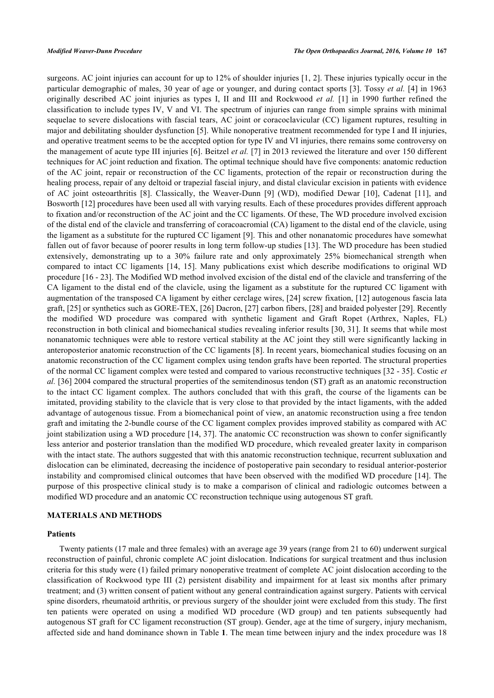surgeons. AC joint injuries can account for up to 12% of shoulder injuries [[1,](#page-9-0) [2](#page-9-1)]. These injuries typically occur in the particular demographic of males, 30 year of age or younger, and during contact sports [[3\]](#page-9-2). Tossy *et al.* [\[4](#page-9-3)] in 1963 originally described AC joint injuries as types I, II and III and Rockwood *et al.* [\[1](#page-9-0)] in 1990 further refined the classification to include types IV, V and VI. The spectrum of injuries can range from simple sprains with minimal sequelae to severe dislocations with fascial tears, AC joint or coracoclavicular (CC) ligament ruptures, resulting in major and debilitating shoulder dysfunction [[5\]](#page-10-0). While nonoperative treatment recommended for type I and II injuries, and operative treatment seems to be the accepted option for type IV and VI injuries, there remains some controversy on the management of acute type III injuries [\[6](#page-10-1)]. Beitzel *et al.* [[7](#page-10-2)] in 2013 reviewed the literature and over 150 different techniques for AC joint reduction and fixation. The optimal technique should have five components: anatomic reduction of the AC joint, repair or reconstruction of the CC ligaments, protection of the repair or reconstruction during the healing process, repair of any deltoid or trapezial fascial injury, and distal clavicular excision in patients with evidence of AC joint osteoarthritis [\[8\]](#page-10-3). Classically, the Weaver-Dunn[[9](#page-10-4)] (WD), modified Dewar[[10\]](#page-10-5), Cadenat [\[11\]](#page-10-6), and Bosworth [[12\]](#page-10-7) procedures have been used all with varying results. Each of these procedures provides different approach to fixation and/or reconstruction of the AC joint and the CC ligaments. Of these, The WD procedure involved excision of the distal end of the clavicle and transferring of coracoacromial (CA) ligament to the distal end of the clavicle, using the ligament as a substitute for the ruptured CC ligament [[9\]](#page-10-4). This and other nonanatomic procedures have somewhat fallen out of favor because of poorer results in long term follow-up studies [[13](#page-10-8)]. The WD procedure has been studied extensively, demonstrating up to a 30% failure rate and only approximately 25% biomechanical strength when compared to intact CC ligaments [\[14,](#page-10-9) [15](#page-10-10)]. Many publications exist which describe modifications to original WD procedure [[16](#page-10-11) - [23](#page-10-12)]. The Modified WD method involved excision of the distal end of the clavicle and transferring of the CA ligament to the distal end of the clavicle, using the ligament as a substitute for the ruptured CC ligament with augmentation of the transposed CA ligament by either cerclage wires, [[24](#page-10-13)] screw fixation, [[12](#page-10-7)] autogenous fascia lata graft, [\[25](#page-10-14)] or synthetics such as GORE-TEX, [\[26\]](#page-10-15) Dacron, [\[27\]](#page-11-0) carbon fibers, [[28\]](#page-11-1) and braided polyester [\[29](#page-11-2)]. Recently the modified WD procedure was compared with synthetic ligament and Graft Ropet (Arthrex, Naples, FL) reconstruction in both clinical and biomechanical studies revealing inferior results [[30](#page-11-3), [31\]](#page-11-4). It seems that while most nonanatomic techniques were able to restore vertical stability at the AC joint they still were significantly lacking in anteroposterior anatomic reconstruction of the CC ligaments [[8](#page-10-3)]. In recent years, biomechanical studies focusing on an anatomic reconstruction of the CC ligament complex using tendon grafts have been reported. The structural properties of the normal CC ligament complex were tested and compared to various reconstructive techniques [\[32](#page-11-5) - [35](#page-11-6)]. Costic *et al.* [\[36](#page-11-7)] 2004 compared the structural properties of the semitendinosus tendon (ST) graft as an anatomic reconstruction to the intact CC ligament complex. The authors concluded that with this graft, the course of the ligaments can be imitated, providing stability to the clavicle that is very close to that provided by the intact ligaments, with the added advantage of autogenous tissue. From a biomechanical point of view, an anatomic reconstruction using a free tendon graft and imitating the 2-bundle course of the CC ligament complex provides improved stability as compared with AC joint stabilization using a WD procedure [[14,](#page-10-9) [37](#page-11-8)]. The anatomic CC reconstruction was shown to confer significantly less anterior and posterior translation than the modified WD procedure, which revealed greater laxity in comparison with the intact state. The authors suggested that with this anatomic reconstruction technique, recurrent subluxation and dislocation can be eliminated, decreasing the incidence of postoperative pain secondary to residual anterior-posterior instability and compromised clinical outcomes that have been observed with the modified WD procedure [\[14\]](#page-10-9). The purpose of this prospective clinical study is to make a comparison of clinical and radiologic outcomes between a modified WD procedure and an anatomic CC reconstruction technique using autogenous ST graft.

### **MATERIALS AND METHODS**

### **Patients**

Twenty patients (17 male and three females) with an average age 39 years (range from 21 to 60) underwent surgical reconstruction of painful, chronic complete AC joint dislocation. Indications for surgical treatment and thus inclusion criteria for this study were (1) failed primary nonoperative treatment of complete AC joint dislocation according to the classification of Rockwood type III (2) persistent disability and impairment for at least six months after primary treatment; and (3) written consent of patient without any general contraindication against surgery. Patients with cervical spine disorders, rheumatoid arthritis, or previous surgery of the shoulder joint were excluded from this study. The first ten patients were operated on using a modified WD procedure (WD group) and ten patients subsequently had autogenous ST graft for CC ligament reconstruction (ST group). Gender, age at the time of surgery, injury mechanism, affected side and hand dominance shown in Table **[1](#page-2-0)**. The mean time between injury and the index procedure was 18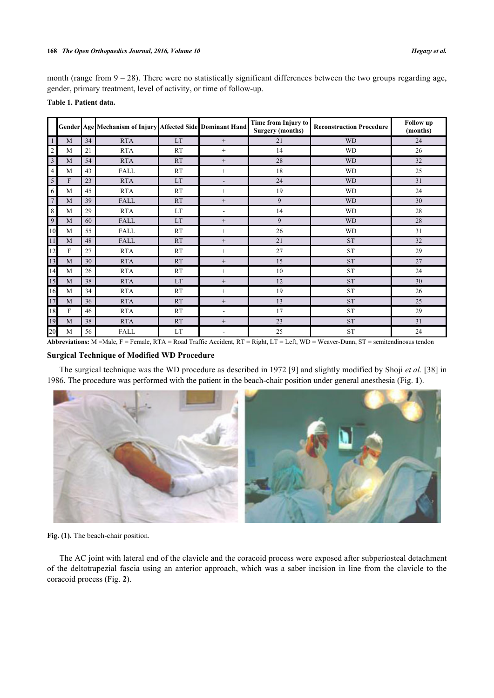month (range from  $9 - 28$ ). There were no statistically significant differences between the two groups regarding age, gender, primary treatment, level of activity, or time of follow-up.

<span id="page-2-0"></span>

|                 |   |    | Gender Age Mechanism of Injury Affected Side Dominant Hand |           |                          | Time from Injury to<br><b>Surgery (months)</b> | <b>Reconstruction Procedure</b> | <b>Follow</b> up<br>(months) |
|-----------------|---|----|------------------------------------------------------------|-----------|--------------------------|------------------------------------------------|---------------------------------|------------------------------|
| -1              | M | 34 | <b>RTA</b>                                                 | LT.       | $^{+}$                   | 21                                             | <b>WD</b>                       | 24                           |
| 2               | M | 21 | <b>RTA</b>                                                 | <b>RT</b> | $^{+}$                   | 14                                             | <b>WD</b>                       | 26                           |
| $\overline{3}$  | M | 54 | <b>RTA</b>                                                 | <b>RT</b> | $^{+}$                   | 28                                             | <b>WD</b>                       | 32                           |
| $\overline{4}$  | M | 43 | <b>FALL</b>                                                | RT        | $^{+}$                   | 18                                             | <b>WD</b>                       | 25                           |
| 5               | F | 23 | <b>RTA</b>                                                 | LT        | $\overline{\phantom{a}}$ | 24                                             | <b>WD</b>                       | 31                           |
| 6               | M | 45 | <b>RTA</b>                                                 | RT        | $^{+}$                   | 19                                             | <b>WD</b>                       | 24                           |
| $7\phantom{.0}$ | M | 39 | <b>FALL</b>                                                | RT        | $^{+}$                   | 9                                              | <b>WD</b>                       | 30                           |
| 8               | M | 29 | <b>RTA</b>                                                 | LT        | $\overline{a}$           | 14                                             | <b>WD</b>                       | 28                           |
| 9               | M | 60 | <b>FALL</b>                                                | LT        | $^{+}$                   | 9                                              | <b>WD</b>                       | 28                           |
| 10              | M | 55 | FALL                                                       | RT        | $^{+}$                   | 26                                             | <b>WD</b>                       | 31                           |
| <sup>11</sup>   | M | 48 | <b>FALL</b>                                                | RT        | $^{+}$                   | 21                                             | <b>ST</b>                       | 32                           |
| 12              | F | 27 | <b>RTA</b>                                                 | RT        | $^{+}$                   | 27                                             | <b>ST</b>                       | 29                           |
| 13              | M | 30 | <b>RTA</b>                                                 | <b>RT</b> | $^{+}$                   | 15                                             | <b>ST</b>                       | 27                           |
| 14              | M | 26 | <b>RTA</b>                                                 | <b>RT</b> | $^{+}$                   | 10                                             | <b>ST</b>                       | 24                           |
| 15              | M | 38 | <b>RTA</b>                                                 | LT        | $^{+}$                   | 12                                             | <b>ST</b>                       | 30                           |
| 16              | M | 34 | <b>RTA</b>                                                 | RT        | $^{+}$                   | 19                                             | ${\rm ST}$                      | 26                           |
| 17              | M | 36 | <b>RTA</b>                                                 | <b>RT</b> | $^{+}$                   | 13                                             | <b>ST</b>                       | 25                           |
| 18              | F | 46 | <b>RTA</b>                                                 | <b>RT</b> | $\overline{\phantom{a}}$ | 17                                             | <b>ST</b>                       | 29                           |
| 19              | M | 38 | <b>RTA</b>                                                 | RT        | $^{+}$                   | 23                                             | <b>ST</b>                       | 31                           |
| 20              | M | 56 | <b>FALL</b>                                                | LT        |                          | 25                                             | <b>ST</b>                       | 24                           |

**Abbreviations:** M =Male, F = Female, RTA = Road Traffic Accident, RT = Right, LT = Left, WD = Weaver-Dunn, ST = semitendinosus tendon

### **Surgical Technique of Modified WD Procedure**

The surgical technique was the WD procedure as described in 1972 [\[9](#page-10-4)] and slightly modified by Shoji *et al.* [[38\]](#page-11-9) in 1986. The procedure was performed with the patient in the beach-chair position under general anesthesia (Fig. **[1](#page-2-1)**).

<span id="page-2-1"></span>

Fig. (1). The beach-chair position.

<span id="page-2-2"></span>The AC joint with lateral end of the clavicle and the coracoid process were exposed after subperiosteal detachment of the deltotrapezial fascia using an anterior approach, which was a saber incision in line from the clavicle to the coracoid process (Fig. **[2](#page-2-2)**).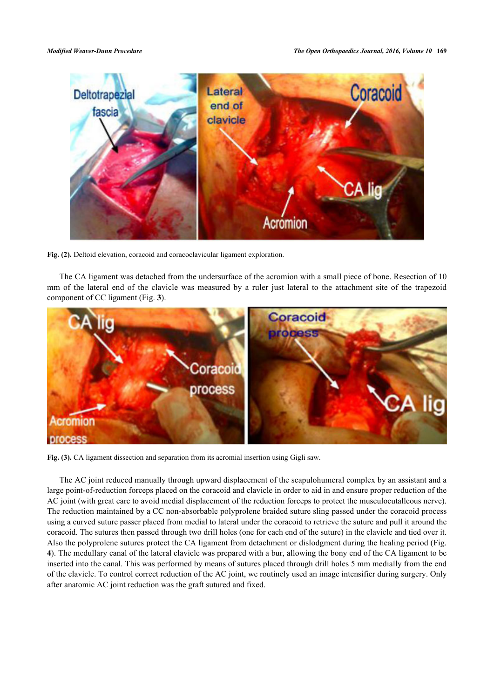

**Fig. (2).** Deltoid elevation, coracoid and coracoclavicular ligament exploration.

The CA ligament was detached from the undersurface of the acromion with a small piece of bone. Resection of 10 mm of the lateral end of the clavicle was measured by a ruler just lateral to the attachment site of the trapezoid component of CC ligament (Fig. **[3](#page-3-0)**).

<span id="page-3-0"></span>

Fig. (3). CA ligament dissection and separation from its acromial insertion using Gigli saw.

<span id="page-3-1"></span>The AC joint reduced manually through upward displacement of the scapulohumeral complex by an assistant and a large point-of-reduction forceps placed on the coracoid and clavicle in order to aid in and ensure proper reduction of the AC joint (with great care to avoid medial displacement of the reduction forceps to protect the musculocutalleous nerve). The reduction maintained by a CC non-absorbable polyprolene braided suture sling passed under the coracoid process using a curved suture passer placed from medial to lateral under the coracoid to retrieve the suture and pull it around the coracoid. The sutures then passed through two drill holes (one for each end of the suture) in the clavicle and tied over it. Also the polyprolene sutures protect the CA ligament from detachment or dislodgment during the healing period (Fig. **[4](#page-3-1)**). The medullary canal of the lateral clavicle was prepared with a bur, allowing the bony end of the CA ligament to be inserted into the canal. This was performed by means of sutures placed through drill holes 5 mm medially from the end of the clavicle. To control correct reduction of the AC joint, we routinely used an image intensifier during surgery. Only after anatomic AC joint reduction was the graft sutured and fixed.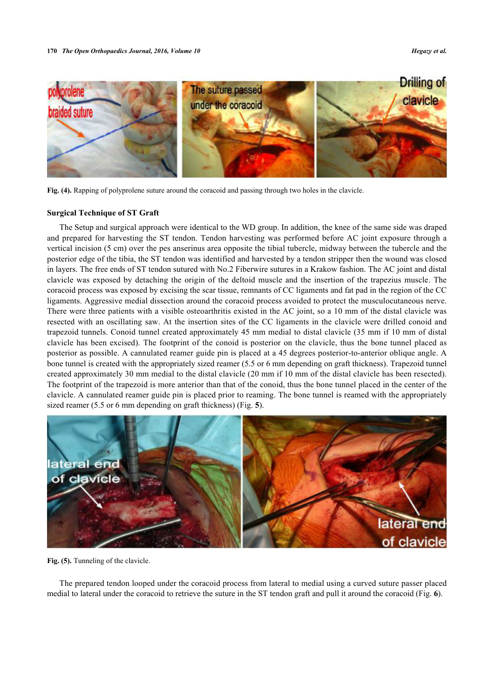

**Fig. (4).** Rapping of polyprolene suture around the coracoid and passing through two holes in the clavicle.

### **Surgical Technique of ST Graft**

The Setup and surgical approach were identical to the WD group. In addition, the knee of the same side was draped and prepared for harvesting the ST tendon. Tendon harvesting was performed before AC joint exposure through a vertical incision (5 cm) over the pes anserinus area opposite the tibial tubercle, midway between the tubercle and the posterior edge of the tibia, the ST tendon was identified and harvested by a tendon stripper then the wound was closed in layers. The free ends of ST tendon sutured with No.2 Fiberwire sutures in a Krakow fashion. The AC joint and distal clavicle was exposed by detaching the origin of the deltoid muscle and the insertion of the trapezius muscle. The coracoid process was exposed by excising the scar tissue, remnants of CC ligaments and fat pad in the region of the CC ligaments. Aggressive medial dissection around the coracoid process avoided to protect the musculocutaneous nerve. There were three patients with a visible osteoarthritis existed in the AC joint, so a 10 mm of the distal clavicle was resected with an oscillating saw. At the insertion sites of the CC ligaments in the clavicle were drilled conoid and trapezoid tunnels. Conoid tunnel created approximately 45 mm medial to distal clavicle (35 mm if 10 mm of distal clavicle has been excised). The footprint of the conoid is posterior on the clavicle, thus the bone tunnel placed as posterior as possible. A cannulated reamer guide pin is placed at a 45 degrees posterior-to-anterior oblique angle. A bone tunnel is created with the appropriately sized reamer (5.5 or 6 mm depending on graft thickness). Trapezoid tunnel created approximately 30 mm medial to the distal clavicle (20 mm if 10 mm of the distal clavicle has been resected). The footprint of the trapezoid is more anterior than that of the conoid, thus the bone tunnel placed in the center of the clavicle. A cannulated reamer guide pin is placed prior to reaming. The bone tunnel is reamed with the appropriately sized reamer (5.5 or 6 mm depending on graft thickness) (Fig. **[5](#page-4-0)**).

<span id="page-4-0"></span>

**Fig. (5).** Tunneling of the clavicle.

<span id="page-4-1"></span>The prepared tendon looped under the coracoid process from lateral to medial using a curved suture passer placed medial to lateral under the coracoid to retrieve the suture in the ST tendon graft and pull it around the coracoid (Fig. **[6](#page-4-1)**).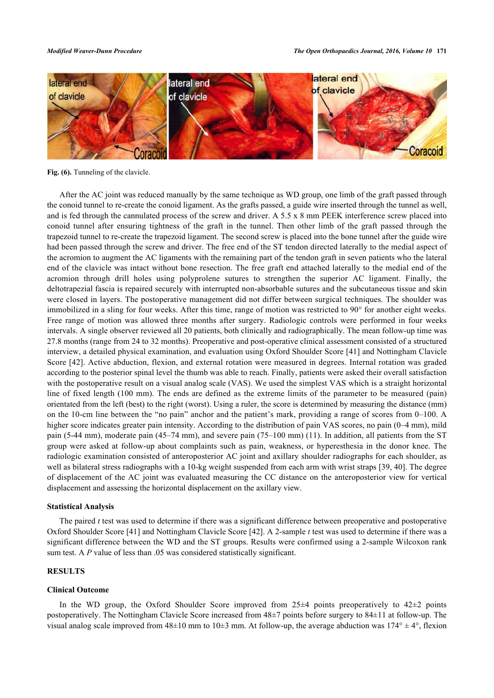

Fig. (6). Tunneling of the clavicle.

After the AC joint was reduced manually by the same technique as WD group, one limb of the graft passed through the conoid tunnel to re-create the conoid ligament. As the grafts passed, a guide wire inserted through the tunnel as well, and is fed through the cannulated process of the screw and driver. A 5.5 x 8 mm PEEK interference screw placed into conoid tunnel after ensuring tightness of the graft in the tunnel. Then other limb of the graft passed through the trapezoid tunnel to re-create the trapezoid ligament. The second screw is placed into the bone tunnel after the guide wire had been passed through the screw and driver. The free end of the ST tendon directed laterally to the medial aspect of the acromion to augment the AC ligaments with the remaining part of the tendon graft in seven patients who the lateral end of the clavicle was intact without bone resection. The free graft end attached laterally to the medial end of the acromion through drill holes using polyprolene sutures to strengthen the superior AC ligament. Finally, the deltotrapezial fascia is repaired securely with interrupted non-absorbable sutures and the subcutaneous tissue and skin were closed in layers. The postoperative management did not differ between surgical techniques. The shoulder was immobilized in a sling for four weeks. After this time, range of motion was restricted to 90° for another eight weeks. Free range of motion was allowed three months after surgery. Radiologic controls were performed in four weeks intervals. A single observer reviewed all 20 patients, both clinically and radiographically. The mean follow-up time was 27.8 months (range from 24 to 32 months). Preoperative and post-operative clinical assessment consisted of a structured interview, a detailed physical examination, and evaluation using Oxford Shoulder Score [[41\]](#page-11-10) and Nottingham Clavicle Score [[42\]](#page-11-11). Active abduction, flexion, and external rotation were measured in degrees. Internal rotation was graded according to the posterior spinal level the thumb was able to reach. Finally, patients were asked their overall satisfaction with the postoperative result on a visual analog scale (VAS). We used the simplest VAS which is a straight horizontal line of fixed length (100 mm). The ends are defined as the extreme limits of the parameter to be measured (pain) orientated from the left (best) to the right (worst). Using a ruler, the score is determined by measuring the distance (mm) on the 10-cm line between the "no pain" anchor and the patient's mark, providing a range of scores from 0–100. A higher score indicates greater pain intensity. According to the distribution of pain VAS scores, no pain (0–4 mm), mild pain (5-44 mm), moderate pain (45–74 mm), and severe pain (75–100 mm) (11). In addition, all patients from the ST group were asked at follow-up about complaints such as pain, weakness, or hyperesthesia in the donor knee. The radiologic examination consisted of anteroposterior AC joint and axillary shoulder radiographs for each shoulder, as well as bilateral stress radiographs with a 10-kg weight suspended from each arm with wrist straps [[39,](#page-11-12) [40](#page-11-13)]. The degree of displacement of the AC joint was evaluated measuring the CC distance on the anteroposterior view for vertical displacement and assessing the horizontal displacement on the axillary view.

### **Statistical Analysis**

The paired *t* test was used to determine if there was a significant difference between preoperative and postoperative Oxford Shoulder Score [[41\]](#page-11-10) and Nottingham Clavicle Score [[42\]](#page-11-11). A 2-sample *t* test was used to determine if there was a significant difference between the WD and the ST groups. Results were confirmed using a 2-sample Wilcoxon rank sum test. A *P* value of less than .05 was considered statistically significant.

# **RESULTS**

### **Clinical Outcome**

In the WD group, the Oxford Shoulder Score improved from  $25\pm 4$  points preoperatively to  $42\pm 2$  points postoperatively. The Nottingham Clavicle Score increased from 48±7 points before surgery to 84±11 at follow-up. The visual analog scale improved from  $48\pm10$  mm to  $10\pm3$  mm. At follow-up, the average abduction was  $174^\circ \pm 4^\circ$ , flexion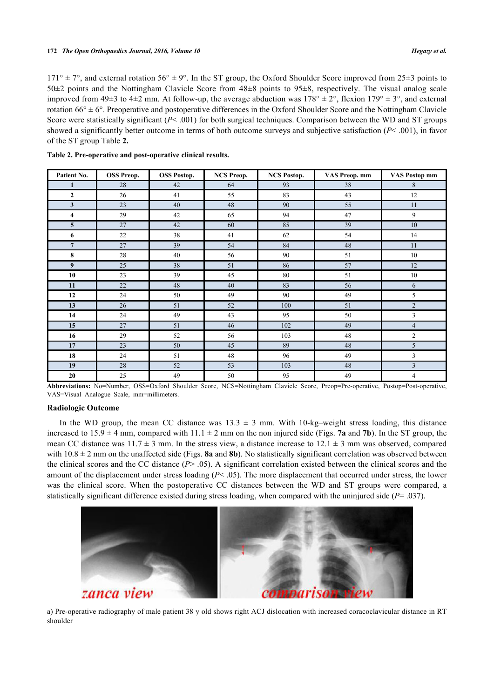$171^\circ \pm 7^\circ$ , and external rotation  $56^\circ \pm 9^\circ$ . In the ST group, the Oxford Shoulder Score improved from 25 $\pm$ 3 points to 50 $\pm$ 2 points and the Nottingham Clavicle Score from  $48\pm 8$  points to 95 $\pm$ 8, respectively. The visual analog scale improved from 49 $\pm$ 3 to 4 $\pm$ 2 mm. At follow-up, the average abduction was  $178^\circ \pm 2^\circ$ , flexion  $179^\circ \pm 3^\circ$ , and external rotation  $66^\circ \pm 6^\circ$ . Preoperative and postoperative differences in the Oxford Shoulder Score and the Nottingham Clavicle Score were statistically significant  $(P< .001)$  for both surgical techniques. Comparison between the WD and ST groups showed a significantly better outcome in terms of both outcome surveys and subjective satisfaction (*P*< .001), in favor of the ST group Table **[2.](#page-6-0)**

| Patient No.             | <b>OSS Preop.</b> | <b>OSS Postop.</b> | <b>NCS Preop.</b> | <b>NCS Postop.</b> | VAS Preop. mm | <b>VAS Postop mm</b> |
|-------------------------|-------------------|--------------------|-------------------|--------------------|---------------|----------------------|
| $\mathbf{1}$            | 28                | 42                 | 64                | 93                 | 38            | 8                    |
| $\mathbf{2}$            | 26                | 41                 | 55                | 83                 | 43            | 12                   |
| $\mathbf{3}$            | 23                | 40                 | 48                | 90                 | 55            | 11                   |
| $\overline{\mathbf{4}}$ | 29                | 42                 | 65                | 94                 | 47            | 9                    |
| $5\overline{)}$         | 27                | 42                 | 60                | 85                 | 39            | 10                   |
| 6                       | 22                | 38                 | 41                | 62                 | 54            | 14                   |
| $7\overline{ }$         | 27                | 39                 | 54                | 84                 | 48            | 11                   |
| 8                       | 28                | 40                 | 56                | 90                 | 51            | 10                   |
| $\boldsymbol{9}$        | 25                | 38                 | 51                | 86                 | 57            | 12                   |
| 10                      | 23                | 39                 | 45                | 80                 | 51            | 10                   |
| 11                      | 22                | 48                 | 40                | 83                 | 56            | 6                    |
| 12                      | 24                | 50                 | 49                | 90                 | 49            | 5                    |
| 13                      | 26                | 51                 | 52                | 100                | 51            | $\overline{2}$       |
| 14                      | 24                | 49                 | 43                | 95                 | 50            | 3                    |
| 15                      | 27                | 51                 | 46                | 102                | 49            | $\overline{4}$       |
| 16                      | 29                | 52                 | 56                | 103                | 48            | $\overline{c}$       |
| 17                      | 23                | 50                 | 45                | 89                 | 48            | 5                    |
| 18                      | 24                | 51                 | 48                | 96                 | 49            | 3                    |
| 19                      | 28                | 52                 | 53                | 103                | 48            | 3                    |
| 20                      | 25                | 49                 | 50                | 95                 | 49            | $\overline{4}$       |

<span id="page-6-0"></span>**Table 2. Pre-operative and post-operative clinical results.**

**Abbreviations:** No=Number, OSS=Oxford Shoulder Score, NCS=Nottingham Clavicle Score, Preop=Pre-operative, Postop=Post-operative, VAS=Visual Analogue Scale, mm=millimeters.

### **Radiologic Outcome**

In the WD group, the mean CC distance was  $13.3 \pm 3$  mm. With  $10\text{-kg}-$ weight stress loading, this distance increased to  $15.9 \pm 4$  mm, compared with  $11.1 \pm 2$  mm on the non injured side (Figs. **[7a](#page-6-1)** and **[7b](#page-6-1)**). In the ST group, the mean CC distance was  $11.7 \pm 3$  mm. In the stress view, a distance increase to  $12.1 \pm 3$  mm was observed, compared with  $10.8 \pm 2$  mm on the unaffected side (Figs. **[8a](#page-7-0)** and **[8b](#page-7-0)**). No statistically significant correlation was observed between the clinical scores and the CC distance (*P*> .05). A significant correlation existed between the clinical scores and the amount of the displacement under stress loading (*P*< .05). The more displacement that occurred under stress, the lower was the clinical score. When the postoperative CC distances between the WD and ST groups were compared, a statistically significant difference existed during stress loading, when compared with the uninjured side (*P*= .037).

<span id="page-6-1"></span>

a) Pre-operative radiography of male patient 38 y old shows right ACJ dislocation with increased coracoclavicular distance in RT shoulder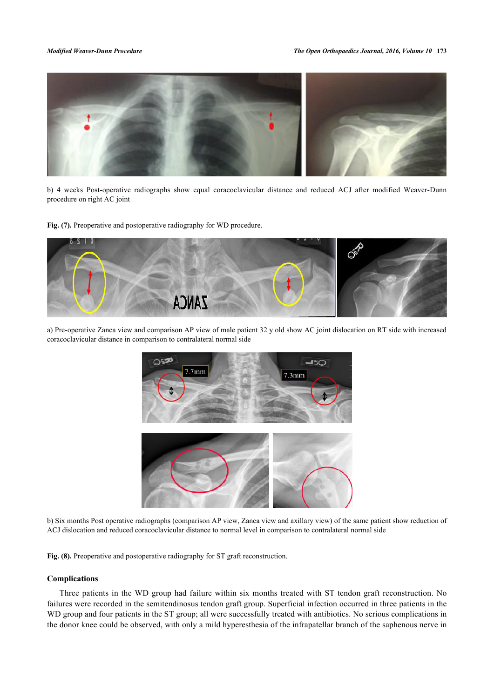

b) 4 weeks Post-operative radiographs show equal coracoclavicular distance and reduced ACJ after modified Weaver-Dunn procedure on right AC joint

Fig. (7). Preoperative and postoperative radiography for WD procedure.

<span id="page-7-0"></span>

a) Pre-operative Zanca view and comparison AP view of male patient 32 y old show AC joint dislocation on RT side with increased coracoclavicular distance in comparison to contralateral normal side



b) Six months Post operative radiographs (comparison AP view, Zanca view and axillary view) of the same patient show reduction of ACJ dislocation and reduced coracoclavicular distance to normal level in comparison to contralateral normal side

**Fig. (8).** Preoperative and postoperative radiography for ST graft reconstruction.

### **Complications**

Three patients in the WD group had failure within six months treated with ST tendon graft reconstruction. No failures were recorded in the semitendinosus tendon graft group. Superficial infection occurred in three patients in the WD group and four patients in the ST group; all were successfully treated with antibiotics. No serious complications in the donor knee could be observed, with only a mild hyperesthesia of the infrapatellar branch of the saphenous nerve in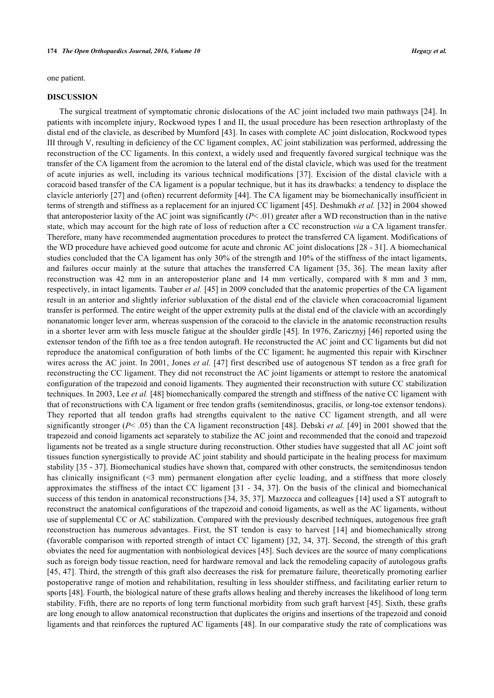one patient.

### **DISCUSSION**

The surgical treatment of symptomatic chronic dislocations of the AC joint included two main pathways [[24](#page-10-13)]. In patients with incomplete injury, Rockwood types I and II, the usual procedure has been resection arthroplasty of the distal end of the clavicle, as described by Mumford [\[43](#page-11-14)]. In cases with complete AC joint dislocation, Rockwood types III through V, resulting in deficiency of the CC ligament complex, AC joint stabilization was performed, addressing the reconstruction of the CC ligaments. In this context, a widely used and frequently favored surgical technique was the transfer of the CA ligament from the acromion to the lateral end of the distal clavicle, which was used for the treatment of acute injuries as well, including its various technical modifications[[37](#page-11-8)]. Excision of the distal clavicle with a coracoid based transfer of the CA ligament is a popular technique, but it has its drawbacks: a tendency to displace the clavicle anteriorly [[27\]](#page-11-0) and (often) recurrent deformity [[44\]](#page-11-15). The CA ligament may be biomechanically insufficient in terms of strength and stiffness as a replacement for an injured CC ligament [[45](#page-11-16)]. Deshmukh *et al.* [\[32](#page-11-5)] in 2004 showed that anteroposterior laxity of the AC joint was significantly  $(P< 0.01)$  greater after a WD reconstruction than in the native state, which may account for the high rate of loss of reduction after a CC reconstruction *via* a CA ligament transfer. Therefore, many have recommended augmentation procedures to protect the transferred CA ligament. Modifications of the WD procedure have achieved good outcome for acute and chronic AC joint dislocations [[28](#page-11-1) - [31\]](#page-11-4). A biomechanical studies concluded that the CA ligament has only 30% of the strength and 10% of the stiffness of the intact ligaments, and failures occur mainly at the suture that attaches the transferred CA ligament [\[35,](#page-11-6) [36](#page-11-7)]. The mean laxity after reconstruction was 42 mm in an anteroposterior plane and 14 mm vertically, compared with 8 mm and 3 mm, respectively, in intact ligaments. Tauber *et al.* [[45\]](#page-11-16) in 2009 concluded that the anatomic properties of the CA ligament result in an anterior and slightly inferior subluxation of the distal end of the clavicle when coracoacromial ligament transfer is performed. The entire weight of the upper extremity pulls at the distal end of the clavicle with an accordingly nonanatomic longer lever arm, whereas suspension of the coracoid to the clavicle in the anatomic reconstruction results in a shorter lever arm with less muscle fatigue at the shoulder girdle [\[45\]](#page-11-16). In 1976, Zaricznyj [[46\]](#page-11-17) reported using the extensor tendon of the fifth toe as a free tendon autograft. He reconstructed the AC joint and CC ligaments but did not reproduce the anatomical configuration of both limbs of the CC ligament; he augmented this repair with Kirschner wires across the AC joint. In 2001, Jones *et al.* [[47](#page-12-0)] first described use of autogenous ST tendon as a free graft for reconstructing the CC ligament. They did not reconstruct the AC joint ligaments or attempt to restore the anatomical configuration of the trapezoid and conoid ligaments. They augmented their reconstruction with suture CC stabilization techniques. In 2003, Lee *et al.* [\[48](#page-12-1)] biomechanically compared the strength and stiffness of the native CC ligament with that of reconstructions with CA ligament or free tendon grafts (semitendinosus, gracilis, or long-toe extensor tendons). They reported that all tendon grafts had strengths equivalent to the native CC ligament strength, and all were significantly stronger (*P*< .05) than the CA ligament reconstruction [[48](#page-12-1)]. Debski *et al.* [\[49](#page-12-2)] in 2001 showed that the trapezoid and conoid ligaments act separately to stabilize the AC joint and recommended that the conoid and trapezoid ligaments not be treated as a single structure during reconstruction. Other studies have suggested that all AC joint soft tissues function synergistically to provide AC joint stability and should participate in the healing process for maximum stability [\[35](#page-11-6) - [37](#page-11-8)]. Biomechanical studies have shown that, compared with other constructs, the semitendinosus tendon has clinically insignificant (<3 mm) permanent elongation after cyclic loading, and a stiffness that more closely approximates the stiffness of the intact CC ligament [[31](#page-11-4) - [34,](#page-11-18) [37](#page-11-8)]. On the basis of the clinical and biomechanical success of this tendon in anatomical reconstructions [[34,](#page-11-18) [35](#page-11-6), [37](#page-11-8)]. Mazzocca and colleagues [[14\]](#page-10-9) used a ST autograft to reconstruct the anatomical configurations of the trapezoid and conoid ligaments, as well as the AC ligaments, without use of supplemental CC or AC stabilization. Compared with the previously described techniques, autogenous free graft reconstruction has numerous advantages. First, the ST tendon is easy to harvest[[14](#page-10-9)] and biomechanically strong (favorable comparison with reported strength of intact CC ligament) [\[32](#page-11-5), [34,](#page-11-18) [37\]](#page-11-8). Second, the strength of this graft obviates the need for augmentation with nonbiological devices [[45\]](#page-11-16). Such devices are the source of many complications such as foreign body tissue reaction, need for hardware removal and lack the remodeling capacity of autologous grafts [\[45](#page-11-16), [47](#page-12-0)]. Third, the strength of this graft also decreases the risk for premature failure, theoretically promoting earlier postoperative range of motion and rehabilitation, resulting in less shoulder stiffness, and facilitating earlier return to sports [[48\]](#page-12-1). Fourth, the biological nature of these grafts allows healing and thereby increases the likelihood of long term stability. Fifth, there are no reports of long term functional morbidity from such graft harvest [[45\]](#page-11-16). Sixth, these grafts are long enough to allow anatomical reconstruction that duplicates the origins and insertions of the trapezoid and conoid ligaments and that reinforces the ruptured AC ligaments [[48\]](#page-12-1). In our comparative study the rate of complications was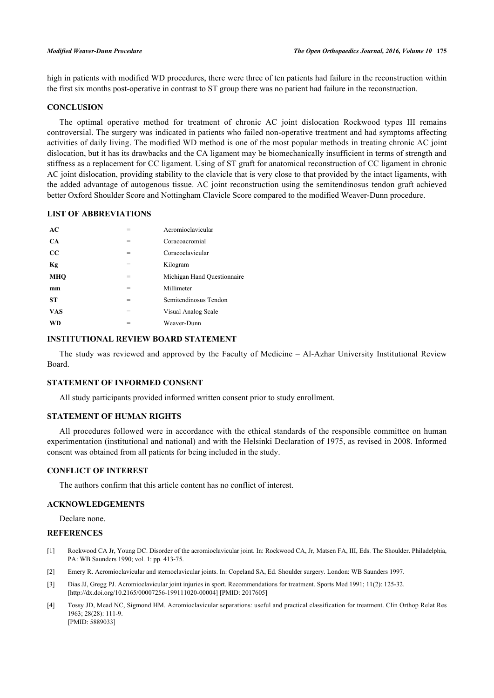high in patients with modified WD procedures, there were three of ten patients had failure in the reconstruction within the first six months post-operative in contrast to ST group there was no patient had failure in the reconstruction.

# **CONCLUSION**

The optimal operative method for treatment of chronic AC joint dislocation Rockwood types III remains controversial. The surgery was indicated in patients who failed non-operative treatment and had symptoms affecting activities of daily living. The modified WD method is one of the most popular methods in treating chronic AC joint dislocation, but it has its drawbacks and the CA ligament may be biomechanically insufficient in terms of strength and stiffness as a replacement for CC ligament. Using of ST graft for anatomical reconstruction of CC ligament in chronic AC joint dislocation, providing stability to the clavicle that is very close to that provided by the intact ligaments, with the added advantage of autogenous tissue. AC joint reconstruction using the semitendinosus tendon graft achieved better Oxford Shoulder Score and Nottingham Clavicle Score compared to the modified Weaver-Dunn procedure.

# **LIST OF ABBREVIATIONS**

| AC          | $=$ | Acromioclavicular           |
|-------------|-----|-----------------------------|
| <b>CA</b>   | =   | Coracoacromial              |
| $_{\rm CC}$ | $=$ | Coracoclavicular            |
| Кg          | $=$ | Kilogram                    |
| MHO         | $=$ | Michigan Hand Questionnaire |
| mm          | $=$ | Millimeter                  |
| <b>ST</b>   | $=$ | Semitendinosus Tendon       |
| <b>VAS</b>  | $=$ | Visual Analog Scale         |
| WD          | =   | Weaver-Dunn                 |

### **INSTITUTIONAL REVIEW BOARD STATEMENT**

The study was reviewed and approved by the Faculty of Medicine – Al-Azhar University Institutional Review Board.

# **STATEMENT OF INFORMED CONSENT**

All study participants provided informed written consent prior to study enrollment.

### **STATEMENT OF HUMAN RIGHTS**

All procedures followed were in accordance with the ethical standards of the responsible committee on human experimentation (institutional and national) and with the Helsinki Declaration of 1975, as revised in 2008. Informed consent was obtained from all patients for being included in the study.

### **CONFLICT OF INTEREST**

The authors confirm that this article content has no conflict of interest.

# **ACKNOWLEDGEMENTS**

Declare none.

### **REFERENCES**

- <span id="page-9-0"></span>[1] Rockwood CA Jr, Young DC. Disorder of the acromioclavicular joint. In: Rockwood CA, Jr, Matsen FA, III, Eds. The Shoulder. Philadelphia, PA: WB Saunders 1990; vol. 1: pp. 413-75.
- <span id="page-9-1"></span>[2] Emery R. Acromioclavicular and sternoclavicular joints. In: Copeland SA, Ed. Shoulder surgery. London: WB Saunders 1997.
- <span id="page-9-2"></span>[3] Dias JJ, Gregg PJ. Acromioclavicular joint injuries in sport. Recommendations for treatment. Sports Med 1991; 11(2): 125-32. [\[http://dx.doi.org/10.2165/00007256-199111020-00004](http://dx.doi.org/10.2165/00007256-199111020-00004)] [PMID: [2017605\]](http://www.ncbi.nlm.nih.gov/pubmed/2017605)
- <span id="page-9-3"></span>[4] Tossy JD, Mead NC, Sigmond HM. Acromioclavicular separations: useful and practical classification for treatment. Clin Orthop Relat Res 1963; 28(28): 111-9. [PMID: [5889033\]](http://www.ncbi.nlm.nih.gov/pubmed/5889033)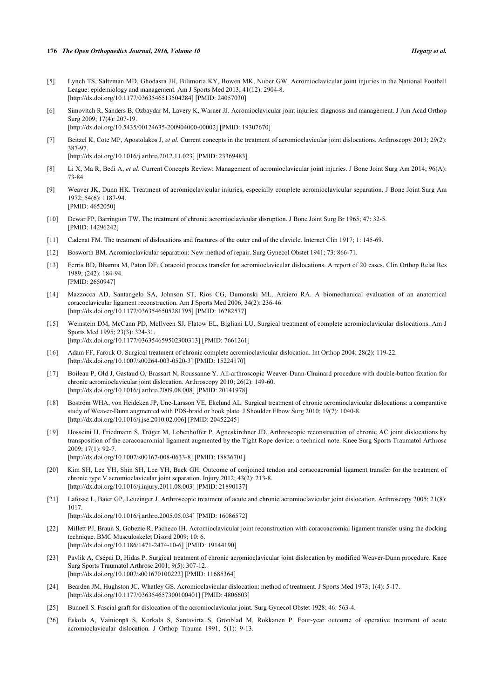### **176** *The Open Orthopaedics Journal, 2016, Volume 10 Hegazy et al.*

- <span id="page-10-0"></span>[5] Lynch TS, Saltzman MD, Ghodasra JH, Bilimoria KY, Bowen MK, Nuber GW. Acromioclavicular joint injuries in the National Football League: epidemiology and management. Am J Sports Med 2013; 41(12): 2904-8. [\[http://dx.doi.org/10.1177/0363546513504284\]](http://dx.doi.org/10.1177/0363546513504284) [PMID: [24057030](http://www.ncbi.nlm.nih.gov/pubmed/24057030)]
- <span id="page-10-1"></span>[6] Simovitch R, Sanders B, Ozbaydar M, Lavery K, Warner JJ. Acromioclavicular joint injuries: diagnosis and management. J Am Acad Orthop Surg 2009; 17(4): 207-19. [\[http://dx.doi.org/10.5435/00124635-200904000-00002](http://dx.doi.org/10.5435/00124635-200904000-00002)] [PMID: [19307670\]](http://www.ncbi.nlm.nih.gov/pubmed/19307670)
- <span id="page-10-2"></span>[7] Beitzel K, Cote MP, Apostolakos J, *et al.* Current concepts in the treatment of acromioclavicular joint dislocations. Arthroscopy 2013; 29(2): 387-97. [\[http://dx.doi.org/10.1016/j.arthro.2012.11.023](http://dx.doi.org/10.1016/j.arthro.2012.11.023)] [PMID: [23369483\]](http://www.ncbi.nlm.nih.gov/pubmed/23369483)
- <span id="page-10-3"></span>[8] Li X, Ma R, Bedi A, *et al.* Current Concepts Review: Management of acromioclavicular joint injuries. J Bone Joint Surg Am 2014; 96(A): 73-84.
- <span id="page-10-4"></span>[9] Weaver JK, Dunn HK. Treatment of acromioclavicular injuries, especially complete acromioclavicular separation. J Bone Joint Surg Am 1972; 54(6): 1187-94. [PMID: [4652050\]](http://www.ncbi.nlm.nih.gov/pubmed/4652050)
- <span id="page-10-5"></span>[10] Dewar FP, Barrington TW. The treatment of chronic acromioclavicular disruption. J Bone Joint Surg Br 1965; 47: 32-5. [PMID: [14296242\]](http://www.ncbi.nlm.nih.gov/pubmed/14296242)
- <span id="page-10-6"></span>[11] Cadenat FM. The treatment of dislocations and fractures of the outer end of the clavicle. Internet Clin 1917; 1: 145-69.
- <span id="page-10-7"></span>[12] Bosworth BM. Acromioclavicular separation: New method of repair. Surg Gynecol Obstet 1941; 73: 866-71.
- <span id="page-10-8"></span>[13] Ferris BD, Bhamra M, Paton DF. Coracoid process transfer for acromioclavicular dislocations. A report of 20 cases. Clin Orthop Relat Res 1989; (242): 184-94. [PMID: [2650947\]](http://www.ncbi.nlm.nih.gov/pubmed/2650947)
- <span id="page-10-9"></span>[14] Mazzocca AD, Santangelo SA, Johnson ST, Rios CG, Dumonski ML, Arciero RA. A biomechanical evaluation of an anatomical coracoclavicular ligament reconstruction. Am J Sports Med 2006; 34(2): 236-46. [\[http://dx.doi.org/10.1177/0363546505281795\]](http://dx.doi.org/10.1177/0363546505281795) [PMID: [16282577](http://www.ncbi.nlm.nih.gov/pubmed/16282577)]
- <span id="page-10-10"></span>[15] Weinstein DM, McCann PD, McIlveen SJ, Flatow EL, Bigliani LU. Surgical treatment of complete acromioclavicular dislocations. Am J Sports Med 1995; 23(3): 324-31. [\[http://dx.doi.org/10.1177/036354659502300313\]](http://dx.doi.org/10.1177/036354659502300313) [PMID: [7661261](http://www.ncbi.nlm.nih.gov/pubmed/7661261)]
- <span id="page-10-11"></span>[16] Adam FF, Farouk O. Surgical treatment of chronic complete acromioclavicular dislocation. Int Orthop 2004; 28(2): 119-22. [\[http://dx.doi.org/10.1007/s00264-003-0520-3\]](http://dx.doi.org/10.1007/s00264-003-0520-3) [PMID: [15224170](http://www.ncbi.nlm.nih.gov/pubmed/15224170)]
- [17] Boileau P, Old J, Gastaud O, Brassart N, Roussanne Y. All-arthroscopic Weaver-Dunn-Chuinard procedure with double-button fixation for chronic acromioclavicular joint dislocation. Arthroscopy 2010; 26(2): 149-60. [\[http://dx.doi.org/10.1016/j.arthro.2009.08.008](http://dx.doi.org/10.1016/j.arthro.2009.08.008)] [PMID: [20141978\]](http://www.ncbi.nlm.nih.gov/pubmed/20141978)
- [18] Boström WHA, von Heideken JP, Une-Larsson VE, Ekelund AL. Surgical treatment of chronic acromioclavicular dislocations: a comparative study of Weaver-Dunn augmented with PDS-braid or hook plate. J Shoulder Elbow Surg 2010; 19(7): 1040-8. [\[http://dx.doi.org/10.1016/j.jse.2010.02.006\]](http://dx.doi.org/10.1016/j.jse.2010.02.006) [PMID: [20452245](http://www.ncbi.nlm.nih.gov/pubmed/20452245)]
- [19] Hosseini H, Friedmann S, Tröger M, Lobenhoffer P, Agneskirchner JD. Arthroscopic reconstruction of chronic AC joint dislocations by transposition of the coracoacromial ligament augmented by the Tight Rope device: a technical note. Knee Surg Sports Traumatol Arthrosc 2009; 17(1): 92-7. [\[http://dx.doi.org/10.1007/s00167-008-0633-8\]](http://dx.doi.org/10.1007/s00167-008-0633-8) [PMID: [18836701](http://www.ncbi.nlm.nih.gov/pubmed/18836701)]
- [20] Kim SH, Lee YH, Shin SH, Lee YH, Baek GH. Outcome of conjoined tendon and coracoacromial ligament transfer for the treatment of chronic type V acromioclavicular joint separation. Injury 2012; 43(2): 213-8. [\[http://dx.doi.org/10.1016/j.injury.2011.08.003](http://dx.doi.org/10.1016/j.injury.2011.08.003)] [PMID: [21890137\]](http://www.ncbi.nlm.nih.gov/pubmed/21890137)
- [21] Lafosse L, Baier GP, Leuzinger J. Arthroscopic treatment of acute and chronic acromioclavicular joint dislocation. Arthroscopy 2005; 21(8): 1017. [\[http://dx.doi.org/10.1016/j.arthro.2005.05.034](http://dx.doi.org/10.1016/j.arthro.2005.05.034)] [PMID: [16086572\]](http://www.ncbi.nlm.nih.gov/pubmed/16086572)
- [22] Millett PJ, Braun S, Gobezie R, Pacheco IH. Acromioclavicular joint reconstruction with coracoacromial ligament transfer using the docking technique. BMC Musculoskelet Disord 2009; 10: 6. [\[http://dx.doi.org/10.1186/1471-2474-10-6\]](http://dx.doi.org/10.1186/1471-2474-10-6) [PMID: [19144190](http://www.ncbi.nlm.nih.gov/pubmed/19144190)]
- <span id="page-10-12"></span>[23] Pavlik A, Csépai D, Hidas P. Surgical treatment of chronic acromioclavicular joint dislocation by modified Weaver-Dunn procedure. Knee Surg Sports Traumatol Arthrosc 2001; 9(5): 307-12. [\[http://dx.doi.org/10.1007/s001670100222\]](http://dx.doi.org/10.1007/s001670100222) [PMID: [11685364](http://www.ncbi.nlm.nih.gov/pubmed/11685364)]
- <span id="page-10-13"></span>[24] Bearden JM, Hughston JC, Whatley GS. Acromioclavicular dislocation: method of treatment. J Sports Med 1973; 1(4): 5-17. [\[http://dx.doi.org/10.1177/036354657300100401\]](http://dx.doi.org/10.1177/036354657300100401) [PMID: [4806603](http://www.ncbi.nlm.nih.gov/pubmed/4806603)]
- <span id="page-10-14"></span>[25] Bunnell S. Fascial graft for dislocation of the acromioclavicular joint. Surg Gynecol Obstet 1928; 46: 563-4.
- <span id="page-10-15"></span>[26] Eskola A, Vainionpä S, Korkala S, Santavirta S, Grönblad M, Rokkanen P. Four-year outcome of operative treatment of acute acromioclavicular dislocation. J Orthop Trauma 1991; 5(1): 9-13.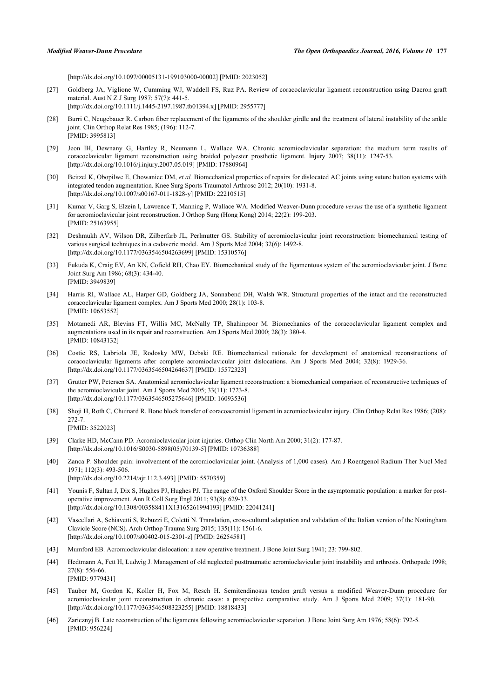[\[http://dx.doi.org/10.1097/00005131-199103000-00002](http://dx.doi.org/10.1097/00005131-199103000-00002)] [PMID: [2023052\]](http://www.ncbi.nlm.nih.gov/pubmed/2023052)

- <span id="page-11-0"></span>[27] Goldberg JA, Viglione W, Cumming WJ, Waddell FS, Ruz PA. Review of coracoclavicular ligament reconstruction using Dacron graft material. Aust N Z J Surg 1987; 57(7): 441-5. [\[http://dx.doi.org/10.1111/j.1445-2197.1987.tb01394.x\]](http://dx.doi.org/10.1111/j.1445-2197.1987.tb01394.x) [PMID: [2955777](http://www.ncbi.nlm.nih.gov/pubmed/2955777)]
- <span id="page-11-1"></span>[28] Burri C, Neugebauer R. Carbon fiber replacement of the ligaments of the shoulder girdle and the treatment of lateral instability of the ankle joint. Clin Orthop Relat Res 1985; (196): 112-7. [PMID: [3995813\]](http://www.ncbi.nlm.nih.gov/pubmed/3995813)
- <span id="page-11-2"></span>[29] Jeon IH, Dewnany G, Hartley R, Neumann L, Wallace WA. Chronic acromioclavicular separation: the medium term results of coracoclavicular ligament reconstruction using braided polyester prosthetic ligament. Injury 2007; 38(11): 1247-53. [\[http://dx.doi.org/10.1016/j.injury.2007.05.019](http://dx.doi.org/10.1016/j.injury.2007.05.019)] [PMID: [17880964\]](http://www.ncbi.nlm.nih.gov/pubmed/17880964)
- <span id="page-11-3"></span>[30] Beitzel K, Obopilwe E, Chowaniec DM, *et al.* Biomechanical properties of repairs for dislocated AC joints using suture button systems with integrated tendon augmentation. Knee Surg Sports Traumatol Arthrosc 2012; 20(10): 1931-8. [\[http://dx.doi.org/10.1007/s00167-011-1828-y\]](http://dx.doi.org/10.1007/s00167-011-1828-y) [PMID: [22210515](http://www.ncbi.nlm.nih.gov/pubmed/22210515)]
- <span id="page-11-4"></span>[31] Kumar V, Garg S, Elzein I, Lawrence T, Manning P, Wallace WA. Modified Weaver-Dunn procedure *versus* the use of a synthetic ligament for acromioclavicular joint reconstruction. J Orthop Surg (Hong Kong) 2014; 22(2): 199-203. [PMID: [25163955\]](http://www.ncbi.nlm.nih.gov/pubmed/25163955)
- <span id="page-11-5"></span>[32] Deshmukh AV, Wilson DR, Zilberfarb JL, Perlmutter GS. Stability of acromioclavicular joint reconstruction: biomechanical testing of various surgical techniques in a cadaveric model. Am J Sports Med 2004; 32(6): 1492-8. [\[http://dx.doi.org/10.1177/0363546504263699\]](http://dx.doi.org/10.1177/0363546504263699) [PMID: [15310576](http://www.ncbi.nlm.nih.gov/pubmed/15310576)]
- [33] Fukuda K, Craig EV, An KN, Cofield RH, Chao EY. Biomechanical study of the ligamentous system of the acromioclavicular joint. J Bone Joint Surg Am 1986; 68(3): 434-40. [PMID: [3949839\]](http://www.ncbi.nlm.nih.gov/pubmed/3949839)
- <span id="page-11-18"></span>[34] Harris RI, Wallace AL, Harper GD, Goldberg JA, Sonnabend DH, Walsh WR. Structural properties of the intact and the reconstructed coracoclavicular ligament complex. Am J Sports Med 2000; 28(1): 103-8. [PMID: [10653552\]](http://www.ncbi.nlm.nih.gov/pubmed/10653552)
- <span id="page-11-6"></span>[35] Motamedi AR, Blevins FT, Willis MC, McNally TP, Shahinpoor M. Biomechanics of the coracoclavicular ligament complex and augmentations used in its repair and reconstruction. Am J Sports Med 2000; 28(3): 380-4. [PMID: [10843132\]](http://www.ncbi.nlm.nih.gov/pubmed/10843132)
- <span id="page-11-7"></span>[36] Costic RS, Labriola JE, Rodosky MW, Debski RE. Biomechanical rationale for development of anatomical reconstructions of coracoclavicular ligaments after complete acromioclavicular joint dislocations. Am J Sports Med 2004; 32(8): 1929-36. [\[http://dx.doi.org/10.1177/0363546504264637\]](http://dx.doi.org/10.1177/0363546504264637) [PMID: [15572323](http://www.ncbi.nlm.nih.gov/pubmed/15572323)]
- <span id="page-11-8"></span>[37] Grutter PW, Petersen SA. Anatomical acromioclavicular ligament reconstruction: a biomechanical comparison of reconstructive techniques of the acromioclavicular joint. Am J Sports Med 2005; 33(11): 1723-8. [\[http://dx.doi.org/10.1177/0363546505275646\]](http://dx.doi.org/10.1177/0363546505275646) [PMID: [16093536](http://www.ncbi.nlm.nih.gov/pubmed/16093536)]
- <span id="page-11-9"></span>[38] Shoji H, Roth C, Chuinard R. Bone block transfer of coracoacromial ligament in acromioclavicular injury. Clin Orthop Relat Res 1986; (208): 272-7. [PMID: [3522023\]](http://www.ncbi.nlm.nih.gov/pubmed/3522023)
- <span id="page-11-12"></span>[39] Clarke HD, McCann PD. Acromioclavicular joint injuries. Orthop Clin North Am 2000; 31(2): 177-87. [\[http://dx.doi.org/10.1016/S0030-5898\(05\)70139-5\]](http://dx.doi.org/10.1016/S0030-5898(05)70139-5) [PMID: [10736388](http://www.ncbi.nlm.nih.gov/pubmed/10736388)]
- <span id="page-11-13"></span>[40] Zanca P. Shoulder pain: involvement of the acromioclavicular joint. (Analysis of 1,000 cases). Am J Roentgenol Radium Ther Nucl Med 1971; 112(3): 493-506. [\[http://dx.doi.org/10.2214/ajr.112.3.493](http://dx.doi.org/10.2214/ajr.112.3.493)] [PMID: [5570359\]](http://www.ncbi.nlm.nih.gov/pubmed/5570359)
- <span id="page-11-10"></span>[41] Younis F, Sultan J, Dix S, Hughes PJ, Hughes PJ. The range of the Oxford Shoulder Score in the asymptomatic population: a marker for postoperative improvement. Ann R Coll Surg Engl 2011; 93(8): 629-33. [\[http://dx.doi.org/10.1308/003588411X13165261994193\]](http://dx.doi.org/10.1308/003588411X13165261994193) [PMID: [22041241](http://www.ncbi.nlm.nih.gov/pubmed/22041241)]
- <span id="page-11-11"></span>[42] Vascellari A, Schiavetti S, Rebuzzi E, Coletti N. Translation, cross-cultural adaptation and validation of the Italian version of the Nottingham Clavicle Score (NCS). Arch Orthop Trauma Surg 2015; 135(11): 1561-6. [\[http://dx.doi.org/10.1007/s00402-015-2301-z](http://dx.doi.org/10.1007/s00402-015-2301-z)] [PMID: [26254581](http://www.ncbi.nlm.nih.gov/pubmed/26254581)]
- <span id="page-11-14"></span>[43] Mumford EB. Acromioclavicular dislocation: a new operative treatment. J Bone Joint Surg 1941; 23: 799-802.
- <span id="page-11-15"></span>[44] Hedtmann A, Fett H, Ludwig J. Management of old neglected posttraumatic acromioclavicular joint instability and arthrosis. Orthopade 1998; 27(8): 556-66. [PMID: [9779431\]](http://www.ncbi.nlm.nih.gov/pubmed/9779431)
- <span id="page-11-16"></span>[45] Tauber M, Gordon K, Koller H, Fox M, Resch H. Semitendinosus tendon graft versus a modified Weaver-Dunn procedure for acromioclavicular joint reconstruction in chronic cases: a prospective comparative study. Am J Sports Med 2009; 37(1): 181-90. [\[http://dx.doi.org/10.1177/0363546508323255\]](http://dx.doi.org/10.1177/0363546508323255) [PMID: [18818433](http://www.ncbi.nlm.nih.gov/pubmed/18818433)]
- <span id="page-11-17"></span>[46] Zaricznyj B. Late reconstruction of the ligaments following acromioclavicular separation. J Bone Joint Surg Am 1976; 58(6): 792-5. [PMID: [956224\]](http://www.ncbi.nlm.nih.gov/pubmed/956224)